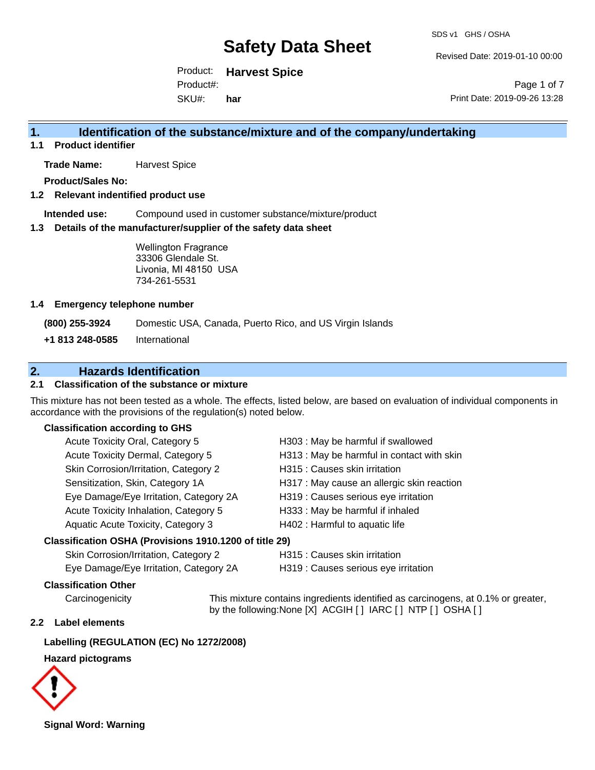Revised Date: 2019-01-10 00:00

Product: **Harvest Spice**  SKU#: Product#: **har**

Page 1 of 7 Print Date: 2019-09-26 13:28

## **1. Identification of the substance/mixture and of the company/undertaking**

**1.1 Product identifier**

**Trade Name:** Harvest Spice

**Product/Sales No:**

**1.2 Relevant indentified product use**

**Intended use:** Compound used in customer substance/mixture/product

**1.3 Details of the manufacturer/supplier of the safety data sheet**

Wellington Fragrance 33306 Glendale St. Livonia, MI 48150 USA 734-261-5531

### **1.4 Emergency telephone number**

**(800) 255-3924** Domestic USA, Canada, Puerto Rico, and US Virgin Islands

**+1 813 248-0585** International

## **2. Hazards Identification**

## **2.1 Classification of the substance or mixture**

This mixture has not been tested as a whole. The effects, listed below, are based on evaluation of individual components in accordance with the provisions of the regulation(s) noted below.

### **Classification according to GHS**

| Acute Toxicity Oral, Category 5        | H303 : May be harmful if swallowed         |
|----------------------------------------|--------------------------------------------|
| Acute Toxicity Dermal, Category 5      | H313 : May be harmful in contact with skin |
| Skin Corrosion/Irritation, Category 2  | H315 : Causes skin irritation              |
| Sensitization, Skin, Category 1A       | H317 : May cause an allergic skin reaction |
| Eye Damage/Eye Irritation, Category 2A | H319 : Causes serious eye irritation       |
| Acute Toxicity Inhalation, Category 5  | H333: May be harmful if inhaled            |
| Aquatic Acute Toxicity, Category 3     | H402 : Harmful to aquatic life             |
|                                        |                                            |

#### **Classification OSHA (Provisions 1910.1200 of title 29)**

| Skin Corrosion/Irritation, Category 2  | H315:  |
|----------------------------------------|--------|
| Eye Damage/Eye Irritation, Category 2A | H319:0 |

Causes skin irritation

Causes serious eye irritation

## **Classification Other**

Carcinogenicity This mixture contains ingredients identified as carcinogens, at 0.1% or greater, by the following:None [X] ACGIH [ ] IARC [ ] NTP [ ] OSHA [ ]

## **2.2 Label elements**

## **Labelling (REGULATION (EC) No 1272/2008)**

## **Hazard pictograms**



**Signal Word: Warning**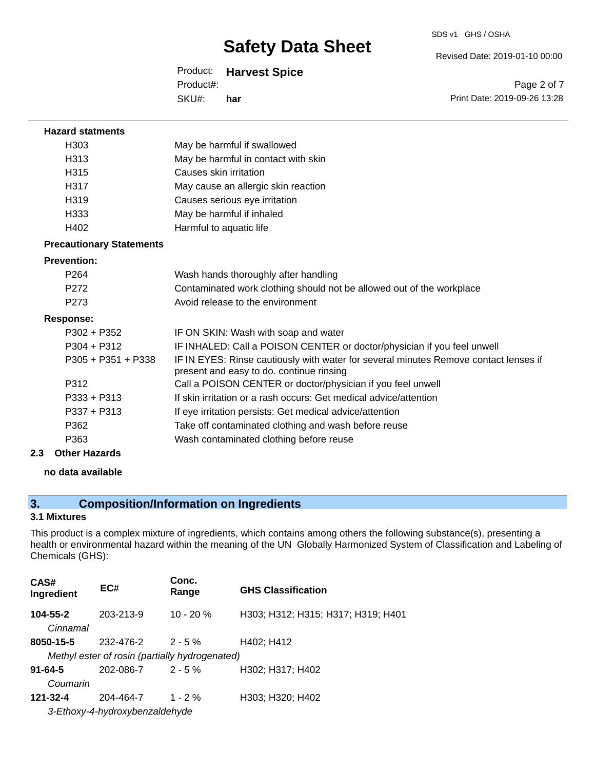SDS v1 GHS / OSHA

Revised Date: 2019-01-10 00:00

## Product: **Harvest Spice**

SKU#: Product#: **har**

Page 2 of 7 Print Date: 2019-09-26 13:28

| <b>Hazard statments</b>         |                                                                                                                                  |
|---------------------------------|----------------------------------------------------------------------------------------------------------------------------------|
| H303                            | May be harmful if swallowed                                                                                                      |
| H313                            | May be harmful in contact with skin                                                                                              |
| H <sub>315</sub>                | Causes skin irritation                                                                                                           |
| H317                            | May cause an allergic skin reaction                                                                                              |
| H <sub>319</sub>                | Causes serious eye irritation                                                                                                    |
| H <sub>333</sub>                | May be harmful if inhaled                                                                                                        |
| H402                            | Harmful to aquatic life                                                                                                          |
| <b>Precautionary Statements</b> |                                                                                                                                  |
| <b>Prevention:</b>              |                                                                                                                                  |
| P <sub>264</sub>                | Wash hands thoroughly after handling                                                                                             |
| P272                            | Contaminated work clothing should not be allowed out of the workplace                                                            |
| P273                            | Avoid release to the environment                                                                                                 |
| <b>Response:</b>                |                                                                                                                                  |
| $P302 + P352$                   | IF ON SKIN: Wash with soap and water                                                                                             |
| $P304 + P312$                   | IF INHALED: Call a POISON CENTER or doctor/physician if you feel unwell                                                          |
| $P305 + P351 + P338$            | IF IN EYES: Rinse cautiously with water for several minutes Remove contact lenses if<br>present and easy to do. continue rinsing |
| P312                            | Call a POISON CENTER or doctor/physician if you feel unwell                                                                      |
| $P333 + P313$                   | If skin irritation or a rash occurs: Get medical advice/attention                                                                |
| $P337 + P313$                   | If eye irritation persists: Get medical advice/attention                                                                         |
| P362                            | Take off contaminated clothing and wash before reuse                                                                             |
| P363                            | Wash contaminated clothing before reuse                                                                                          |
| 2.3<br><b>Other Hazards</b>     |                                                                                                                                  |

## **no data available**

## **3. Composition/Information on Ingredients**

## **3.1 Mixtures**

This product is a complex mixture of ingredients, which contains among others the following substance(s), presenting a health or environmental hazard within the meaning of the UN Globally Harmonized System of Classification and Labeling of Chemicals (GHS):

| CAS#<br>Ingredient        | EC#                                            | Conc.<br>Range | <b>GHS Classification</b>          |
|---------------------------|------------------------------------------------|----------------|------------------------------------|
| 104-55-2<br>Cinnamal      | 203-213-9                                      | $10 - 20%$     | H303; H312; H315; H317; H319; H401 |
| 8050-15-5                 | 232-476-2                                      | $2 - 5 \%$     | H402; H412                         |
|                           | Methyl ester of rosin (partially hydrogenated) |                |                                    |
| $91 - 64 - 5$<br>Coumarin | 202-086-7                                      | $2 - 5%$       | H302; H317; H402                   |
|                           |                                                |                |                                    |
| 121-32-4                  | 204-464-7                                      | $1 - 2%$       | H303; H320; H402                   |
|                           | 3-Ethoxy-4-hydroxybenzaldehyde                 |                |                                    |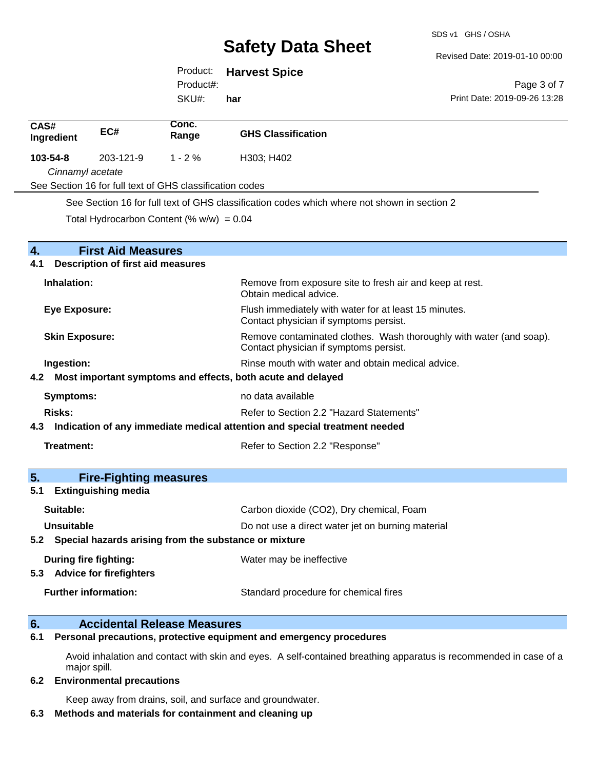Revised Date: 2019-01-10 00:00

Print Date: 2019-09-26 13:28

Page 3 of 7

Product: **Harvest Spice** 

Product#:

SKU#: **har**

| CAS#<br>Ingredient                                                             | EC#                                      | Conc.<br>Range                                            | <b>GHS Classification</b>                                                                                     |
|--------------------------------------------------------------------------------|------------------------------------------|-----------------------------------------------------------|---------------------------------------------------------------------------------------------------------------|
| 103-54-8                                                                       | 203-121-9                                | $1 - 2%$                                                  | H303; H402                                                                                                    |
| Cinnamyl acetate                                                               |                                          |                                                           |                                                                                                               |
|                                                                                |                                          | See Section 16 for full text of GHS classification codes  |                                                                                                               |
|                                                                                |                                          |                                                           | See Section 16 for full text of GHS classification codes which where not shown in section 2                   |
|                                                                                |                                          | Total Hydrocarbon Content (% $w/w$ ) = 0.04               |                                                                                                               |
|                                                                                |                                          |                                                           |                                                                                                               |
| 4.                                                                             | <b>First Aid Measures</b>                |                                                           |                                                                                                               |
| 4.1                                                                            | <b>Description of first aid measures</b> |                                                           |                                                                                                               |
| Inhalation:                                                                    |                                          |                                                           | Remove from exposure site to fresh air and keep at rest.<br>Obtain medical advice.                            |
| <b>Eye Exposure:</b>                                                           |                                          |                                                           | Flush immediately with water for at least 15 minutes.<br>Contact physician if symptoms persist.               |
| <b>Skin Exposure:</b>                                                          |                                          |                                                           | Remove contaminated clothes. Wash thoroughly with water (and soap).<br>Contact physician if symptoms persist. |
| Ingestion:                                                                     |                                          |                                                           | Rinse mouth with water and obtain medical advice.                                                             |
| 4.2 Most important symptoms and effects, both acute and delayed                |                                          |                                                           |                                                                                                               |
| <b>Symptoms:</b>                                                               |                                          |                                                           | no data available                                                                                             |
| Risks:                                                                         |                                          |                                                           | Refer to Section 2.2 "Hazard Statements"                                                                      |
| 4.3 Indication of any immediate medical attention and special treatment needed |                                          |                                                           |                                                                                                               |
| Treatment:                                                                     |                                          |                                                           | Refer to Section 2.2 "Response"                                                                               |
|                                                                                |                                          |                                                           |                                                                                                               |
| 5 <sub>1</sub>                                                                 | <b>Fire-Fighting measures</b>            |                                                           |                                                                                                               |
| 5.1                                                                            | <b>Extinguishing media</b>               |                                                           |                                                                                                               |
| Suitable:                                                                      |                                          |                                                           | Carbon dioxide (CO2), Dry chemical, Foam                                                                      |
| Unsuitable                                                                     |                                          |                                                           | Do not use a direct water jet on burning material                                                             |
|                                                                                |                                          | 5.2 Special hazards arising from the substance or mixture |                                                                                                               |
| <b>During fire fighting:</b>                                                   | 5.3 Advice for firefighters              |                                                           | Water may be ineffective                                                                                      |
|                                                                                | <b>Further information:</b>              |                                                           | Standard procedure for chemical fires                                                                         |

## **6. Accidental Release Measures**

**6.1 Personal precautions, protective equipment and emergency procedures**

Avoid inhalation and contact with skin and eyes. A self-contained breathing apparatus is recommended in case of a major spill.

#### **6.2 Environmental precautions**

Keep away from drains, soil, and surface and groundwater.

## **6.3 Methods and materials for containment and cleaning up**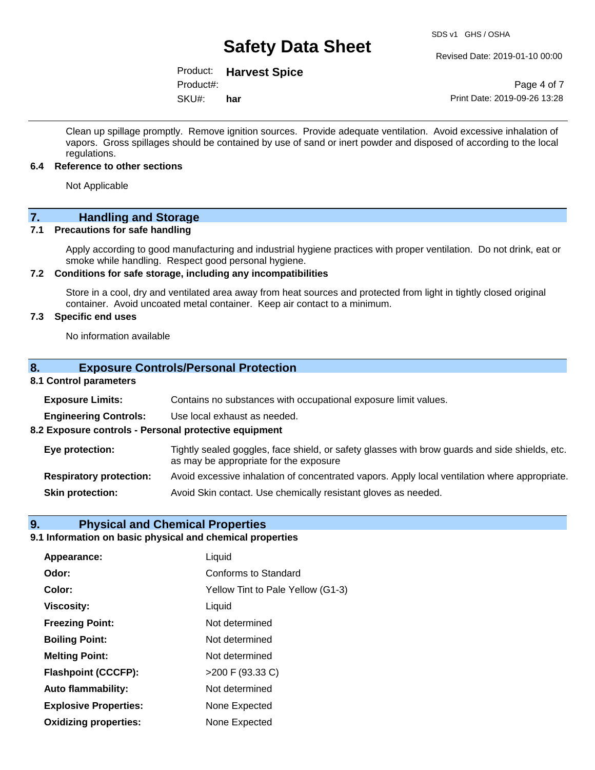#### Revised Date: 2019-01-10 00:00

## Product: **Harvest Spice**

SKU#: Product#: **har**

Page 4 of 7 Print Date: 2019-09-26 13:28

Clean up spillage promptly. Remove ignition sources. Provide adequate ventilation. Avoid excessive inhalation of vapors. Gross spillages should be contained by use of sand or inert powder and disposed of according to the local regulations.

#### **6.4 Reference to other sections**

Not Applicable

## **7. Handling and Storage**

### **7.1 Precautions for safe handling**

Apply according to good manufacturing and industrial hygiene practices with proper ventilation. Do not drink, eat or smoke while handling. Respect good personal hygiene.

### **7.2 Conditions for safe storage, including any incompatibilities**

Store in a cool, dry and ventilated area away from heat sources and protected from light in tightly closed original container. Avoid uncoated metal container. Keep air contact to a minimum.

## **7.3 Specific end uses**

No information available

### **8. Exposure Controls/Personal Protection**

## **8.1 Control parameters**

| <b>Exposure Limits:</b>                               | Contains no substances with occupational exposure limit values.                                                                          |
|-------------------------------------------------------|------------------------------------------------------------------------------------------------------------------------------------------|
| <b>Engineering Controls:</b>                          | Use local exhaust as needed.                                                                                                             |
| 8.2 Exposure controls - Personal protective equipment |                                                                                                                                          |
| Eye protection:                                       | Tightly sealed goggles, face shield, or safety glasses with brow guards and side shields, etc.<br>as may be appropriate for the exposure |
| <b>Respiratory protection:</b>                        | Avoid excessive inhalation of concentrated vapors. Apply local ventilation where appropriate.                                            |
| <b>Skin protection:</b>                               | Avoid Skin contact. Use chemically resistant gloves as needed.                                                                           |

### **9. Physical and Chemical Properties**

## **9.1 Information on basic physical and chemical properties**

| Appearance:                  | Liquid                            |
|------------------------------|-----------------------------------|
| Odor:                        | Conforms to Standard              |
| Color:                       | Yellow Tint to Pale Yellow (G1-3) |
| <b>Viscosity:</b>            | Liquid                            |
| <b>Freezing Point:</b>       | Not determined                    |
| <b>Boiling Point:</b>        | Not determined                    |
| <b>Melting Point:</b>        | Not determined                    |
| <b>Flashpoint (CCCFP):</b>   | >200 F (93.33 C)                  |
| Auto flammability:           | Not determined                    |
| <b>Explosive Properties:</b> | None Expected                     |
| <b>Oxidizing properties:</b> | None Expected                     |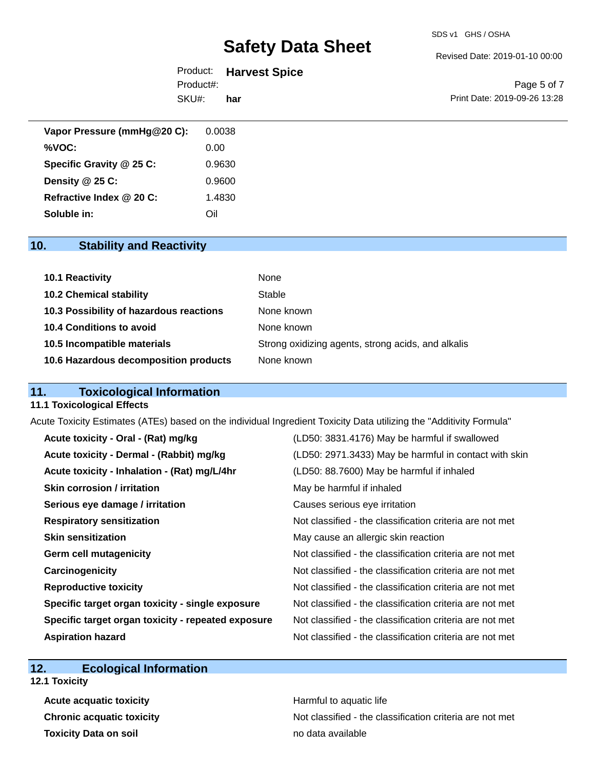Revised Date: 2019-01-10 00:00

| Product:  | <b>Harvest Spice</b> |
|-----------|----------------------|
| Product#: |                      |
| SKU#:     | har                  |

Page 5 of 7 Print Date: 2019-09-26 13:28

| Vapor Pressure (mmHg@20 C): | 0.0038 |
|-----------------------------|--------|
| %VOC:                       | 0.00   |
| Specific Gravity @ 25 C:    | 0.9630 |
| Density $@25C$ :            | 0.9600 |
| Refractive Index @ 20 C:    | 1.4830 |
| Soluble in:                 | Oil    |

## **10. Stability and Reactivity**

| <b>10.1 Reactivity</b>                  | None                                               |
|-----------------------------------------|----------------------------------------------------|
| <b>10.2 Chemical stability</b>          | Stable                                             |
| 10.3 Possibility of hazardous reactions | None known                                         |
| 10.4 Conditions to avoid                | None known                                         |
| 10.5 Incompatible materials             | Strong oxidizing agents, strong acids, and alkalis |
| 10.6 Hazardous decomposition products   | None known                                         |

## **11. Toxicological Information**

### **11.1 Toxicological Effects**

Acute Toxicity Estimates (ATEs) based on the individual Ingredient Toxicity Data utilizing the "Additivity Formula"

| Acute toxicity - Oral - (Rat) mg/kg                | (LD50: 3831.4176) May be harmful if swallowed            |
|----------------------------------------------------|----------------------------------------------------------|
| Acute toxicity - Dermal - (Rabbit) mg/kg           | (LD50: 2971.3433) May be harmful in contact with skin    |
| Acute toxicity - Inhalation - (Rat) mg/L/4hr       | (LD50: 88.7600) May be harmful if inhaled                |
| Skin corrosion / irritation                        | May be harmful if inhaled                                |
| Serious eye damage / irritation                    | Causes serious eye irritation                            |
| <b>Respiratory sensitization</b>                   | Not classified - the classification criteria are not met |
| <b>Skin sensitization</b>                          | May cause an allergic skin reaction                      |
| <b>Germ cell mutagenicity</b>                      | Not classified - the classification criteria are not met |
| Carcinogenicity                                    | Not classified - the classification criteria are not met |
| <b>Reproductive toxicity</b>                       | Not classified - the classification criteria are not met |
| Specific target organ toxicity - single exposure   | Not classified - the classification criteria are not met |
| Specific target organ toxicity - repeated exposure | Not classified - the classification criteria are not met |
| <b>Aspiration hazard</b>                           | Not classified - the classification criteria are not met |

## **12. Ecological Information**

**12.1 Toxicity**

**Acute acquatic toxicity Acute acquatic toxicity Harmful to aquatic life Toxicity Data on soil no data available no data available** 

**Chronic acquatic toxicity** Not classified - the classification criteria are not met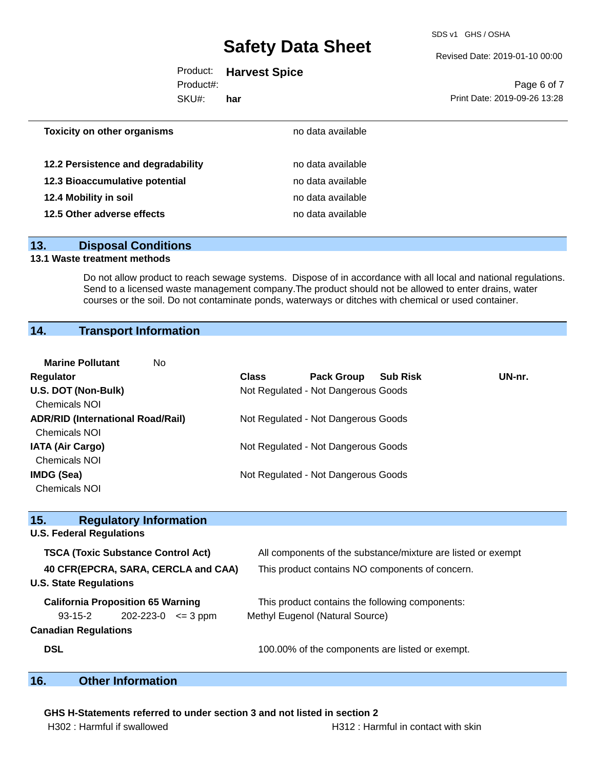SDS v1 GHS / OSHA

Revised Date: 2019-01-10 00:00

|           | Product: Harvest Spice |
|-----------|------------------------|
| Product#: |                        |

SKU#: **har**

Page 6 of 7 Print Date: 2019-09-26 13:28

| <b>Toxicity on other organisms</b> | no data available |  |
|------------------------------------|-------------------|--|
| 12.2 Persistence and degradability | no data available |  |
| 12.3 Bioaccumulative potential     | no data available |  |
| 12.4 Mobility in soil              | no data available |  |
| 12.5 Other adverse effects         | no data available |  |
|                                    |                   |  |

## **13. Disposal Conditions**

## **13.1 Waste treatment methods**

Do not allow product to reach sewage systems. Dispose of in accordance with all local and national regulations. Send to a licensed waste management company.The product should not be allowed to enter drains, water courses or the soil. Do not contaminate ponds, waterways or ditches with chemical or used container.

## **14. Transport Information**

| <b>Marine Pollutant</b><br>No.           |              |                                     |                 |        |
|------------------------------------------|--------------|-------------------------------------|-----------------|--------|
| <b>Regulator</b>                         | <b>Class</b> | <b>Pack Group</b>                   | <b>Sub Risk</b> | UN-nr. |
| U.S. DOT (Non-Bulk)                      |              | Not Regulated - Not Dangerous Goods |                 |        |
| <b>Chemicals NOI</b>                     |              |                                     |                 |        |
| <b>ADR/RID (International Road/Rail)</b> |              | Not Regulated - Not Dangerous Goods |                 |        |
| <b>Chemicals NOI</b>                     |              |                                     |                 |        |
| <b>IATA (Air Cargo)</b>                  |              | Not Regulated - Not Dangerous Goods |                 |        |
| <b>Chemicals NOI</b>                     |              |                                     |                 |        |
| IMDG (Sea)                               |              | Not Regulated - Not Dangerous Goods |                 |        |
| <b>Chemicals NOI</b>                     |              |                                     |                 |        |

| 15.<br><b>Regulatory Information</b>                                 |                                                              |  |
|----------------------------------------------------------------------|--------------------------------------------------------------|--|
| <b>U.S. Federal Regulations</b>                                      |                                                              |  |
| <b>TSCA (Toxic Substance Control Act)</b>                            | All components of the substance/mixture are listed or exempt |  |
| 40 CFR(EPCRA, SARA, CERCLA and CAA)<br><b>U.S. State Regulations</b> | This product contains NO components of concern.              |  |
| <b>California Proposition 65 Warning</b>                             | This product contains the following components:              |  |
| $202 - 223 - 0 \leq 3 \text{ ppm}$<br>93-15-2                        | Methyl Eugenol (Natural Source)                              |  |
| <b>Canadian Regulations</b>                                          |                                                              |  |
| <b>DSL</b>                                                           | 100.00% of the components are listed or exempt.              |  |

## **16. Other Information**

#### **GHS H-Statements referred to under section 3 and not listed in section 2**